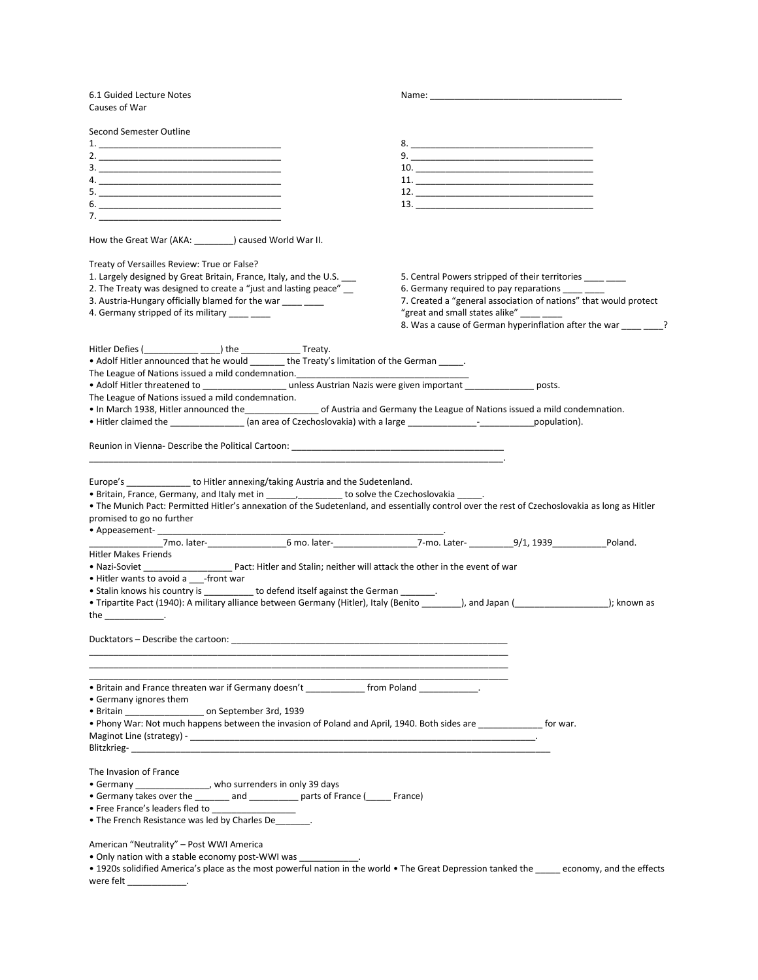| 6.1 Guided Lecture Notes<br>Causes of War                                                                                                                                                                                                                                                                                                                                |                                                                                                                                                                                                                                                                                                                                                                                 |  |
|--------------------------------------------------------------------------------------------------------------------------------------------------------------------------------------------------------------------------------------------------------------------------------------------------------------------------------------------------------------------------|---------------------------------------------------------------------------------------------------------------------------------------------------------------------------------------------------------------------------------------------------------------------------------------------------------------------------------------------------------------------------------|--|
| Second Semester Outline                                                                                                                                                                                                                                                                                                                                                  |                                                                                                                                                                                                                                                                                                                                                                                 |  |
|                                                                                                                                                                                                                                                                                                                                                                          |                                                                                                                                                                                                                                                                                                                                                                                 |  |
|                                                                                                                                                                                                                                                                                                                                                                          |                                                                                                                                                                                                                                                                                                                                                                                 |  |
|                                                                                                                                                                                                                                                                                                                                                                          | 10.                                                                                                                                                                                                                                                                                                                                                                             |  |
|                                                                                                                                                                                                                                                                                                                                                                          |                                                                                                                                                                                                                                                                                                                                                                                 |  |
|                                                                                                                                                                                                                                                                                                                                                                          |                                                                                                                                                                                                                                                                                                                                                                                 |  |
|                                                                                                                                                                                                                                                                                                                                                                          | 13.                                                                                                                                                                                                                                                                                                                                                                             |  |
| 7. $\sim$ 7. $\sim$ 7. $\sim$ 7. $\sim$ 7. $\sim$ 7. $\sim$ 7. $\sim$ 7. $\sim$ 7. $\sim$ 7. $\sim$ 7. $\sim$ 7. $\sim$ 7. $\sim$ 7. $\sim$ 7. $\sim$ 7. $\sim$ 7. $\sim$ 7. $\sim$ 7. $\sim$ 7. $\sim$ 7. $\sim$ 7. $\sim$ 7. $\sim$ 7. $\sim$ 7. $\sim$ 7. $\sim$ 7. $\sim$ 7. $\$                                                                                     |                                                                                                                                                                                                                                                                                                                                                                                 |  |
| How the Great War (AKA: _______) caused World War II.                                                                                                                                                                                                                                                                                                                    |                                                                                                                                                                                                                                                                                                                                                                                 |  |
| Treaty of Versailles Review: True or False?                                                                                                                                                                                                                                                                                                                              |                                                                                                                                                                                                                                                                                                                                                                                 |  |
| 1. Largely designed by Great Britain, France, Italy, and the U.S. ___                                                                                                                                                                                                                                                                                                    | 5. Central Powers stripped of their territories _____ ____                                                                                                                                                                                                                                                                                                                      |  |
| 2. The Treaty was designed to create a "just and lasting peace" __                                                                                                                                                                                                                                                                                                       | 6. Germany required to pay reparations _____ ____                                                                                                                                                                                                                                                                                                                               |  |
| 3. Austria-Hungary officially blamed for the war ____ ___                                                                                                                                                                                                                                                                                                                | 7. Created a "general association of nations" that would protect                                                                                                                                                                                                                                                                                                                |  |
| 4. Germany stripped of its military _______                                                                                                                                                                                                                                                                                                                              | "great and small states alike" $\frac{1}{1}$ $\frac{1}{1}$ $\frac{1}{1}$ $\frac{1}{1}$ $\frac{1}{1}$ $\frac{1}{1}$ $\frac{1}{1}$ $\frac{1}{1}$ $\frac{1}{1}$ $\frac{1}{1}$ $\frac{1}{1}$ $\frac{1}{1}$ $\frac{1}{1}$ $\frac{1}{1}$ $\frac{1}{1}$ $\frac{1}{1}$ $\frac{1}{1}$ $\frac{1}{1}$ $\frac{1}{1}$<br>8. Was a cause of German hyperinflation after the war ____________? |  |
| Hitler Defies (____________ _____) the __________________ Treaty.                                                                                                                                                                                                                                                                                                        |                                                                                                                                                                                                                                                                                                                                                                                 |  |
| • Adolf Hitler announced that he would _______ the Treaty's limitation of the German ______.                                                                                                                                                                                                                                                                             |                                                                                                                                                                                                                                                                                                                                                                                 |  |
| The League of Nations issued a mild condemnation.<br>The League of Nations issued a mild condemnation.<br><u> </u>                                                                                                                                                                                                                                                       |                                                                                                                                                                                                                                                                                                                                                                                 |  |
| • Adolf Hitler threatened to ____________________ unless Austrian Nazis were given important _______________ posts.                                                                                                                                                                                                                                                      |                                                                                                                                                                                                                                                                                                                                                                                 |  |
| The League of Nations issued a mild condemnation.                                                                                                                                                                                                                                                                                                                        |                                                                                                                                                                                                                                                                                                                                                                                 |  |
| . In March 1938, Hitler announced the ____________________ of Austria and Germany the League of Nations issued a mild condemnation.                                                                                                                                                                                                                                      |                                                                                                                                                                                                                                                                                                                                                                                 |  |
| • Hitler claimed the ________________ (an area of Czechoslovakia) with a large ________________________________population).                                                                                                                                                                                                                                              |                                                                                                                                                                                                                                                                                                                                                                                 |  |
| Reunion in Vienna- Describe the Political Cartoon: Neurolas Cartoon and Neurolas Care                                                                                                                                                                                                                                                                                    |                                                                                                                                                                                                                                                                                                                                                                                 |  |
| Europe's ________________ to Hitler annexing/taking Austria and the Sudetenland.<br>• Britain, France, Germany, and Italy met in _____________________ to solve the Czechoslovakia _____.<br>• The Munich Pact: Permitted Hitler's annexation of the Sudetenland, and essentially control over the rest of Czechoslovakia as long as Hitler<br>promised to go no further |                                                                                                                                                                                                                                                                                                                                                                                 |  |
| - 7mo. later- 6 mo. later- 7-mo. Later- 7-mo. Later- 9/1, 1939 Poland.                                                                                                                                                                                                                                                                                                   |                                                                                                                                                                                                                                                                                                                                                                                 |  |
| Hitler Makes Friends                                                                                                                                                                                                                                                                                                                                                     |                                                                                                                                                                                                                                                                                                                                                                                 |  |
|                                                                                                                                                                                                                                                                                                                                                                          |                                                                                                                                                                                                                                                                                                                                                                                 |  |
| . Hitler wants to avoid a ___-front war<br>• Stalin knows his country is __________ to defend itself against the German ______.                                                                                                                                                                                                                                          |                                                                                                                                                                                                                                                                                                                                                                                 |  |
| • Tripartite Pact (1940): A military alliance between Germany (Hitler), Italy (Benito _______), and Japan (__________________); known as                                                                                                                                                                                                                                 |                                                                                                                                                                                                                                                                                                                                                                                 |  |
| the _______________.                                                                                                                                                                                                                                                                                                                                                     |                                                                                                                                                                                                                                                                                                                                                                                 |  |
| Ducktators - Describe the cartoon:                                                                                                                                                                                                                                                                                                                                       |                                                                                                                                                                                                                                                                                                                                                                                 |  |
|                                                                                                                                                                                                                                                                                                                                                                          |                                                                                                                                                                                                                                                                                                                                                                                 |  |
| • Britain and France threaten war if Germany doesn't _____________ from Poland ____________.<br>• Germany ignores them                                                                                                                                                                                                                                                   |                                                                                                                                                                                                                                                                                                                                                                                 |  |
| · Britain ______________________ on September 3rd, 1939                                                                                                                                                                                                                                                                                                                  |                                                                                                                                                                                                                                                                                                                                                                                 |  |
| . Phony War: Not much happens between the invasion of Poland and April, 1940. Both sides are ______________ for war.                                                                                                                                                                                                                                                     |                                                                                                                                                                                                                                                                                                                                                                                 |  |
|                                                                                                                                                                                                                                                                                                                                                                          |                                                                                                                                                                                                                                                                                                                                                                                 |  |
| The Invasion of France                                                                                                                                                                                                                                                                                                                                                   |                                                                                                                                                                                                                                                                                                                                                                                 |  |
| • Germany _________________, who surrenders in only 39 days                                                                                                                                                                                                                                                                                                              |                                                                                                                                                                                                                                                                                                                                                                                 |  |
| • Germany takes over the _______ and _________ parts of France (_____ France)                                                                                                                                                                                                                                                                                            |                                                                                                                                                                                                                                                                                                                                                                                 |  |
| • Free France's leaders fled to                                                                                                                                                                                                                                                                                                                                          |                                                                                                                                                                                                                                                                                                                                                                                 |  |
| • The French Resistance was led by Charles De                                                                                                                                                                                                                                                                                                                            |                                                                                                                                                                                                                                                                                                                                                                                 |  |
| American "Neutrality" – Post WWI America<br>• Only nation with a stable economy post-WWI was                                                                                                                                                                                                                                                                             |                                                                                                                                                                                                                                                                                                                                                                                 |  |

• 1920s solidified America's place as the most powerful nation in the world • The Great Depression tanked the \_\_\_\_\_ economy, and the effects were felt \_\_\_\_\_\_\_\_\_\_\_\_\_\_.